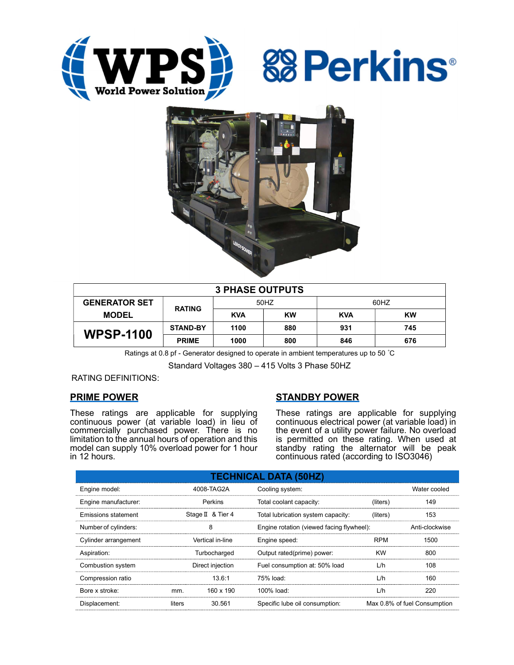





| <b>3 PHASE OUTPUTS</b> |                 |            |           |            |     |  |
|------------------------|-----------------|------------|-----------|------------|-----|--|
| <b>GENERATOR SET</b>   | <b>RATING</b>   | 50HZ       |           | 60HZ       |     |  |
| <b>MODEL</b>           |                 | <b>KVA</b> | <b>KW</b> | <b>KVA</b> | KW  |  |
| <b>WPSP-1100</b>       | <b>STAND-BY</b> | 1100       | 880       | 931        | 745 |  |
|                        | <b>PRIME</b>    | 1000       | 800       | 846        | 676 |  |

Ratings at 0.8 pf - Generator designed to operate in ambient temperatures up to 50 °C

Standard Voltages 380 – 415 Volts 3 Phase 50HZ

RATING DEFINITIONS:

# PRIME POWER

These ratings are applicable for supplying continuous power (at variable load) in lieu of commercially purchased power. There is no limitation to the annual hours of operation and this model can supply 10% overload power for 1 hour in 12 hours.

# STANDBY POWER

These ratings are applicable for supplying continuous electrical power (at variable load) in the event of a utility power failure. No overload is permitted on these rating. When used at standby rating the alternator will be peak continuous rated (according to ISO3046)

| <b>TECHNICAL DATA (50HZ)</b> |        |                   |                                           |            |                              |  |
|------------------------------|--------|-------------------|-------------------------------------------|------------|------------------------------|--|
| Engine model:                |        | 4008-TAG2A        | Cooling system:                           |            | Water cooled                 |  |
| Engine manufacturer:         |        | Perkins           | Total coolant capacity:                   | (liters)   | 149                          |  |
| Emissions statement          |        | Stage II & Tier 4 | Total lubrication system capacity:        | (liters)   | 153                          |  |
| Number of cylinders:         |        | 8                 | Engine rotation (viewed facing flywheel): |            | Anti-clockwise               |  |
| Cylinder arrangement         |        | Vertical in-line  | Engine speed:                             | <b>RPM</b> | 1500                         |  |
| Aspiration:                  |        | Turbocharged      | Output rated(prime) power:                | <b>KW</b>  | 800                          |  |
| Combustion system            |        | Direct injection  | Fuel consumption at: 50% load             | L/h        | 108                          |  |
| Compression ratio            |        | 13.6:1            | $75%$ load:                               | L/h        | 160                          |  |
| Bore x stroke:               | mm.    | 160 x 190         | 100% load:                                | L/h        | 220                          |  |
| Displacement:                | liters | 30.561            | Specific lube oil consumption:            |            | Max 0.8% of fuel Consumption |  |